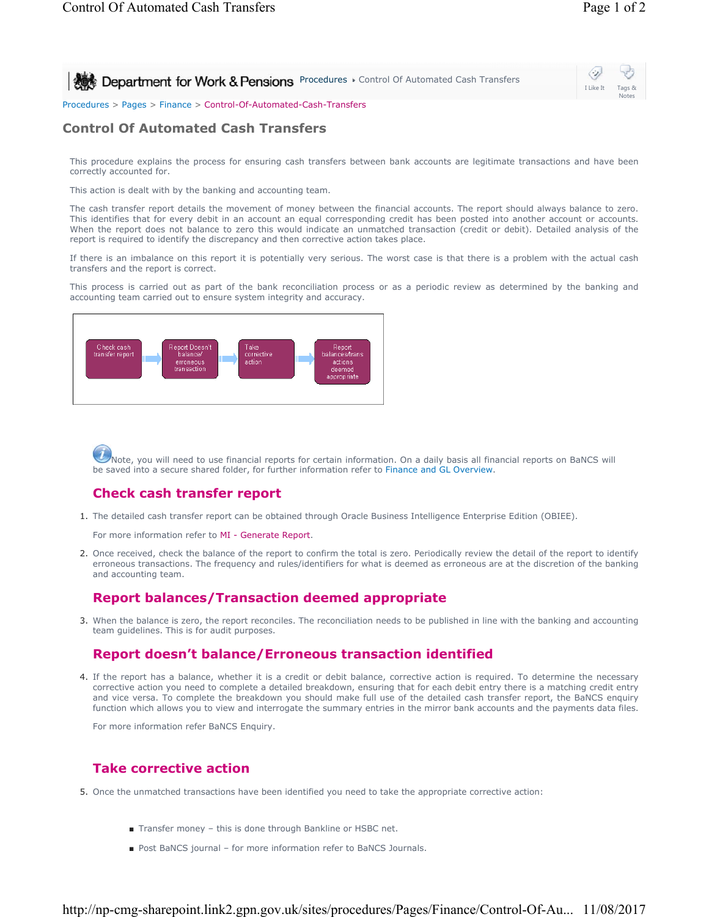#### Procedures > Pages > Finance > Control-Of-Automated-Cash-Transfers

## **Control Of Automated Cash Transfers**

This procedure explains the process for ensuring cash transfers between bank accounts are legitimate transactions and have been correctly accounted for.

This action is dealt with by the banking and accounting team.

The cash transfer report details the movement of money between the financial accounts. The report should always balance to zero. This identifies that for every debit in an account an equal corresponding credit has been posted into another account or accounts. When the report does not balance to zero this would indicate an unmatched transaction (credit or debit). Detailed analysis of the report is required to identify the discrepancy and then corrective action takes place.

If there is an imbalance on this report it is potentially very serious. The worst case is that there is a problem with the actual cash transfers and the report is correct.

This process is carried out as part of the bank reconciliation process or as a periodic review as determined by the banking and accounting team carried out to ensure system integrity and accuracy.



Note, you will need to use financial reports for certain information. On a daily basis all financial reports on BaNCS will be saved into a secure shared folder, for further information refer to Finance and GL Overview.

## **Check cash transfer report**

1. The detailed cash transfer report can be obtained through Oracle Business Intelligence Enterprise Edition (OBIEE).

For more information refer to MI - Generate Report.

2. Once received, check the balance of the report to confirm the total is zero. Periodically review the detail of the report to identify erroneous transactions. The frequency and rules/identifiers for what is deemed as erroneous are at the discretion of the banking and accounting team.

### **Report balances/Transaction deemed appropriate**

3. When the balance is zero, the report reconciles. The reconciliation needs to be published in line with the banking and accounting team guidelines. This is for audit purposes.

## **Report doesn't balance/Erroneous transaction identified**

4. If the report has a balance, whether it is a credit or debit balance, corrective action is required. To determine the necessary corrective action you need to complete a detailed breakdown, ensuring that for each debit entry there is a matching credit entry and vice versa. To complete the breakdown you should make full use of the detailed cash transfer report, the BaNCS enquiry function which allows you to view and interrogate the summary entries in the mirror bank accounts and the payments data files.

For more information refer BaNCS Enquiry.

# **Take corrective action**

- 5. Once the unmatched transactions have been identified you need to take the appropriate corrective action:
	- Transfer money this is done through Bankline or HSBC net.
	- Post BaNCS journal for more information refer to BaNCS Journals.